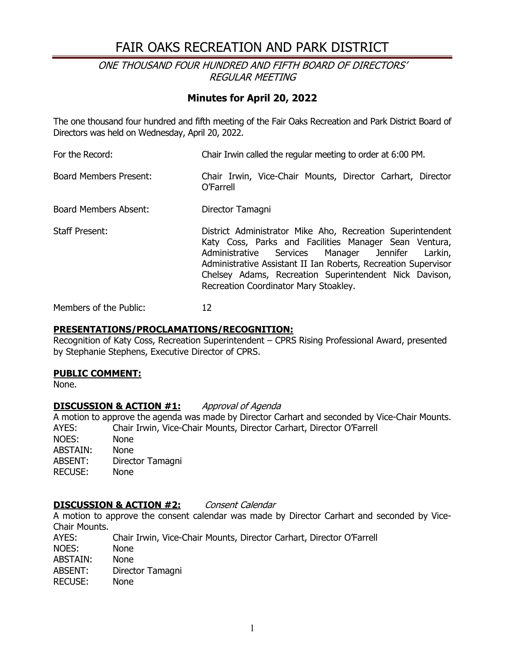#### ONE THOUSAND FOUR HUNDRED AND FIFTH BOARD OF DIRECTORS' REGULAR MEETING

### **Minutes for April 20, 2022**

The one thousand four hundred and fifth meeting of the Fair Oaks Recreation and Park District Board of Directors was held on Wednesday, April 20, 2022.

For the Record: Chair Irwin called the regular meeting to order at 6:00 PM. Board Members Present: Chair Irwin, Vice-Chair Mounts, Director Carhart, Director O'Farrell Board Members Absent: Director Tamagni Staff Present: District Administrator Mike Aho, Recreation Superintendent Katy Coss, Parks and Facilities Manager Sean Ventura, Administrative Services Manager Jennifer Larkin, Administrative Assistant II Ian Roberts, Recreation Supervisor Chelsey Adams, Recreation Superintendent Nick Davison, Recreation Coordinator Mary Stoakley.

Members of the Public: 12

#### **PRESENTATIONS/PROCLAMATIONS/RECOGNITION:**

Recognition of Katy Coss, Recreation Superintendent – CPRS Rising Professional Award, presented by Stephanie Stephens, Executive Director of CPRS.

#### **PUBLIC COMMENT:**

None.

#### **DISCUSSION & ACTION #1:** Approval of Agenda

A motion to approve the agenda was made by Director Carhart and seconded by Vice-Chair Mounts. AYES: Chair Irwin, Vice-Chair Mounts, Director Carhart, Director O'Farrell NOES: None ABSTAIN: None ABSENT: Director Tamagni RECUSE: None

#### **DISCUSSION & ACTION #2:** Consent Calendar

A motion to approve the consent calendar was made by Director Carhart and seconded by Vice-Chair Mounts.

AYES: Chair Irwin, Vice-Chair Mounts, Director Carhart, Director O'Farrell NOES: None ABSTAIN: None ABSENT: Director Tamagni<br>RECUSE: None **RECUSE:**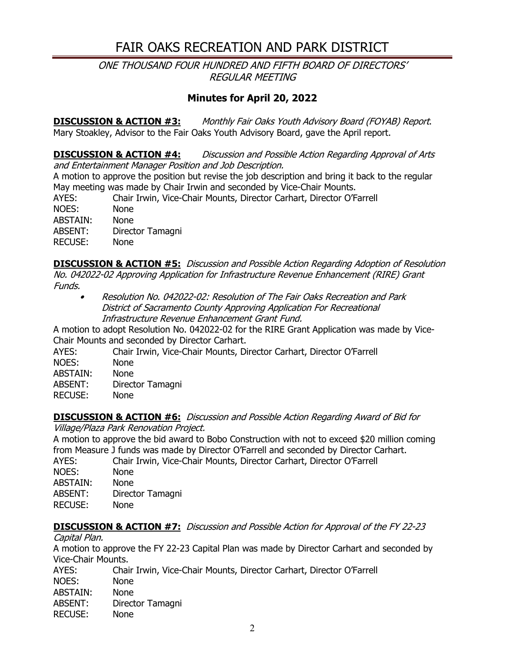ONE THOUSAND FOUR HUNDRED AND FIFTH BOARD OF DIRECTORS' REGULAR MEETING

## **Minutes for April 20, 2022**

**DISCUSSION & ACTION #3:** Monthly Fair Oaks Youth Advisory Board (FOYAB) Report. Mary Stoakley, Advisor to the Fair Oaks Youth Advisory Board, gave the April report.

**DISCUSSION & ACTION #4:** Discussion and Possible Action Regarding Approval of Arts and Entertainment Manager Position and Job Description.

A motion to approve the position but revise the job description and bring it back to the regular May meeting was made by Chair Irwin and seconded by Vice-Chair Mounts.

| AYES:           | Chair Irwin, Vice-Chair Mounts, Director Carhart, Director O'Farrell |
|-----------------|----------------------------------------------------------------------|
| NOES:           | None                                                                 |
| <b>ABSTAIN:</b> | <b>None</b>                                                          |
| ABSENT:         | Director Tamagni                                                     |
| RECUSE:         | None                                                                 |
|                 |                                                                      |

**DISCUSSION & ACTION #5:** Discussion and Possible Action Regarding Adoption of Resolution No. 042022-02 Approving Application for Infrastructure Revenue Enhancement (RIRE) Grant Funds.

• Resolution No. 042022-02: Resolution of The Fair Oaks Recreation and Park District of Sacramento County Approving Application For Recreational Infrastructure Revenue Enhancement Grant Fund.

A motion to adopt Resolution No. 042022-02 for the RIRE Grant Application was made by Vice-Chair Mounts and seconded by Director Carhart.

| AYES:    | Chair Irwin, Vice-Chair Mounts, Director Carhart, Director O'Farrell |
|----------|----------------------------------------------------------------------|
| NOES:    | <b>None</b>                                                          |
| ABSTAIN: | None                                                                 |
| ABSENT:  | Director Tamagni                                                     |
| RECUSE:  | <b>None</b>                                                          |

### **DISCUSSION & ACTION #6:** Discussion and Possible Action Regarding Award of Bid for

Village/Plaza Park Renovation Project.

A motion to approve the bid award to Bobo Construction with not to exceed \$20 million coming from Measure J funds was made by Director O'Farrell and seconded by Director Carhart.

AYES: Chair Irwin, Vice-Chair Mounts, Director Carhart, Director O'Farrell<br>NOES: None NOES: ABSTAIN: None ABSENT: Director Tamagni RECUSE: None

### **DISCUSSION & ACTION #7:** Discussion and Possible Action for Approval of the FY 22-23

Capital Plan.

A motion to approve the FY 22-23 Capital Plan was made by Director Carhart and seconded by Vice-Chair Mounts.

AYES: Chair Irwin, Vice-Chair Mounts, Director Carhart, Director O'Farrell<br>NOES: None NOES: ABSTAIN: None ABSENT: Director Tamagni RECUSE: None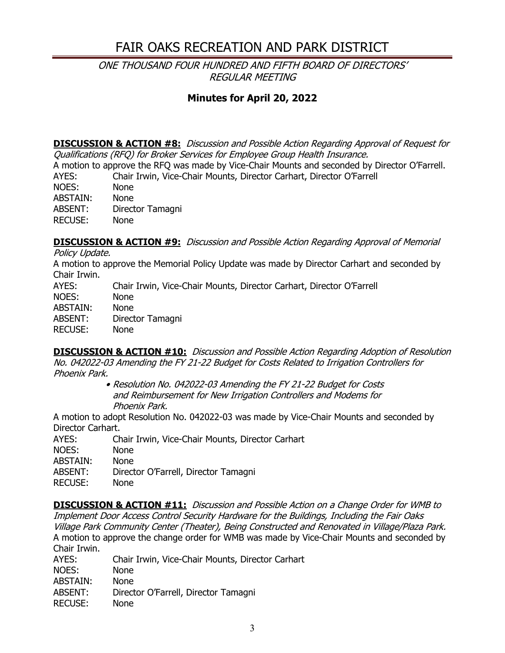### ONE THOUSAND FOUR HUNDRED AND FIFTH BOARD OF DIRECTORS' REGULAR MEETING

## **Minutes for April 20, 2022**

**DISCUSSION & ACTION #8:** Discussion and Possible Action Regarding Approval of Request for Qualifications (RFQ) for Broker Services for Employee Group Health Insurance.

A motion to approve the RFQ was made by Vice-Chair Mounts and seconded by Director O'Farrell.<br>AYES: Chair Irwin, Vice-Chair Mounts, Director Carhart, Director O'Farrell Chair Irwin, Vice-Chair Mounts, Director Carhart, Director O'Farrell

NOES: None ABSTAIN: None ABSENT: Director Tamagni RECUSE: None

**DISCUSSION & ACTION #9:** Discussion and Possible Action Regarding Approval of Memorial

Policy Update.

A motion to approve the Memorial Policy Update was made by Director Carhart and seconded by Chair Irwin.<br>AYES:

Chair Irwin, Vice-Chair Mounts, Director Carhart, Director O'Farrell NOES: None ABSTAIN: None ABSENT: Director Tamagni RECUSE: None

**DISCUSSION & ACTION #10:** Discussion and Possible Action Regarding Adoption of Resolution No. 042022-03 Amending the FY 21-22 Budget for Costs Related to Irrigation Controllers for Phoenix Park.

> • Resolution No. 042022-03 Amending the FY 21-22 Budget for Costs and Reimbursement for New Irrigation Controllers and Modems for Phoenix Park.

A motion to adopt Resolution No. 042022-03 was made by Vice-Chair Mounts and seconded by Director Carhart.

AYES: Chair Irwin, Vice-Chair Mounts, Director Carhart NOES: None ABSTAIN: None ABSENT: Director O'Farrell, Director Tamagni RECUSE: None

**DISCUSSION & ACTION #11:** Discussion and Possible Action on a Change Order for WMB to Implement Door Access Control Security Hardware for the Buildings, Including the Fair Oaks Village Park Community Center (Theater), Being Constructed and Renovated in Village/Plaza Park. A motion to approve the change order for WMB was made by Vice-Chair Mounts and seconded by Chair Irwin.

| Chair Irwin, Vice-Chair Mounts, Director Carhart |
|--------------------------------------------------|
| <b>None</b>                                      |
| <b>None</b>                                      |
| Director O'Farrell, Director Tamagni             |
| <b>None</b>                                      |
|                                                  |